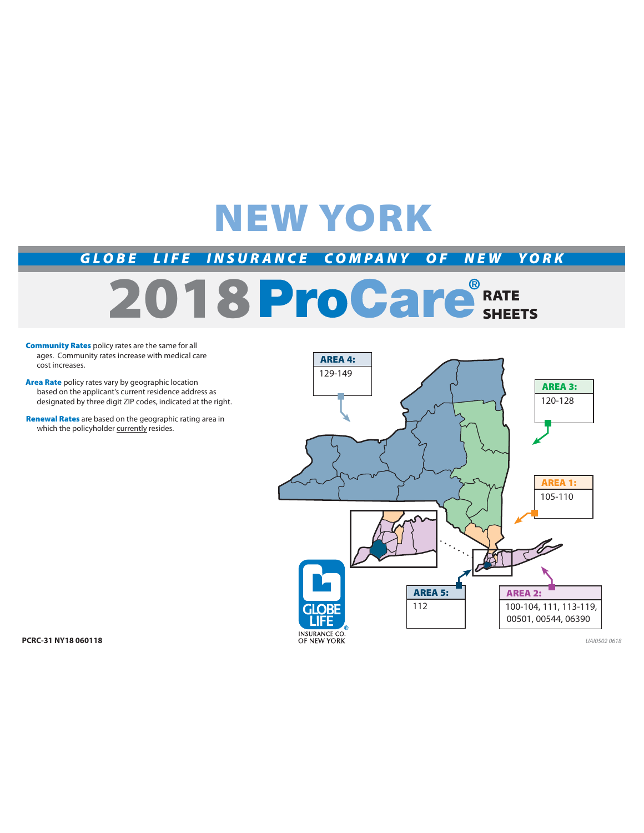## **NEW YORK**

*GLOBE LIFE INSURANCE COMPANY OF NEW YORK*

# **2018 ProGare**<sup>®</sup> RATE

- **Community Rates** policy rates are the same for all ages. Community rates increase with medical care cost increases.
- **Area Rate** policy rates vary by geographic location based on the applicant's current residence address as designated by three digit ZIP codes, indicated at the right.
- **Renewal Rates** are based on the geographic rating area in which the policyholder currently resides.